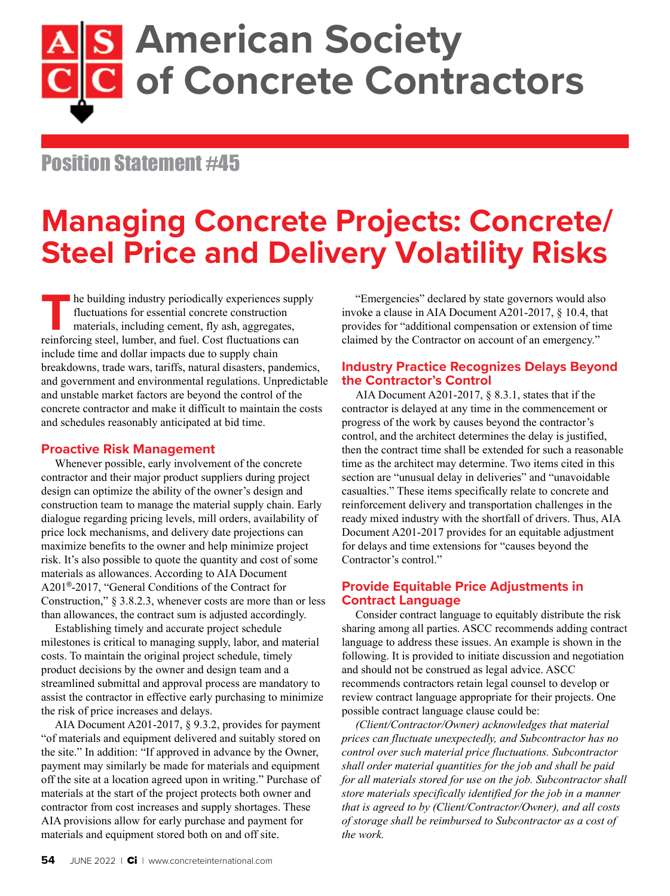# **American Society of Concrete Contractors**

## Position Statement #45

## **Managing Concrete Projects: Concrete/ Steel Price and Delivery Volatility Risks**

**The building industry periodically experiences supply fluctuations for essential concrete construction materials, including cement, fly ash, aggregates, reinforcing steel. lumber. and fuel. Cost fluctuations can** fluctuations for essential concrete construction materials, including cement, fly ash, aggregates, reinforcing steel, lumber, and fuel. Cost fluctuations can include time and dollar impacts due to supply chain breakdowns, trade wars, tariffs, natural disasters, pandemics, and government and environmental regulations. Unpredictable and unstable market factors are beyond the control of the concrete contractor and make it difficult to maintain the costs and schedules reasonably anticipated at bid time.

### **Proactive Risk Management**

Whenever possible, early involvement of the concrete contractor and their major product suppliers during project design can optimize the ability of the owner's design and construction team to manage the material supply chain. Early dialogue regarding pricing levels, mill orders, availability of price lock mechanisms, and delivery date projections can maximize benefits to the owner and help minimize project risk. It's also possible to quote the quantity and cost of some materials as allowances. According to AIA Document A201®-2017, "General Conditions of the Contract for Construction," § 3.8.2.3, whenever costs are more than or less than allowances, the contract sum is adjusted accordingly.

Establishing timely and accurate project schedule milestones is critical to managing supply, labor, and material costs. To maintain the original project schedule, timely product decisions by the owner and design team and a streamlined submittal and approval process are mandatory to assist the contractor in effective early purchasing to minimize the risk of price increases and delays.

AIA Document A201-2017, § 9.3.2, provides for payment "of materials and equipment delivered and suitably stored on the site." In addition: "If approved in advance by the Owner, payment may similarly be made for materials and equipment off the site at a location agreed upon in writing." Purchase of materials at the start of the project protects both owner and contractor from cost increases and supply shortages. These AIA provisions allow for early purchase and payment for materials and equipment stored both on and off site.

"Emergencies" declared by state governors would also invoke a clause in AIA Document A201-2017, § 10.4, that provides for "additional compensation or extension of time claimed by the Contractor on account of an emergency."

## **Industry Practice Recognizes Delays Beyond the Contractor's Control**

AIA Document A201-2017, § 8.3.1, states that if the contractor is delayed at any time in the commencement or progress of the work by causes beyond the contractor's control, and the architect determines the delay is justified, then the contract time shall be extended for such a reasonable time as the architect may determine. Two items cited in this section are "unusual delay in deliveries" and "unavoidable casualties." These items specifically relate to concrete and reinforcement delivery and transportation challenges in the ready mixed industry with the shortfall of drivers. Thus, AIA Document A201-2017 provides for an equitable adjustment for delays and time extensions for "causes beyond the Contractor's control."

## **Provide Equitable Price Adjustments in Contract Language**

Consider contract language to equitably distribute the risk sharing among all parties. ASCC recommends adding contract language to address these issues. An example is shown in the following. It is provided to initiate discussion and negotiation and should not be construed as legal advice. ASCC recommends contractors retain legal counsel to develop or review contract language appropriate for their projects. One possible contract language clause could be:

*(Client/Contractor/Owner) acknowledges that material prices can fluctuate unexpectedly, and Subcontractor has no control over such material price fluctuations. Subcontractor shall order material quantities for the job and shall be paid for all materials stored for use on the job. Subcontractor shall store materials specifically identified for the job in a manner that is agreed to by (Client/Contractor/Owner), and all costs of storage shall be reimbursed to Subcontractor as a cost of the work.*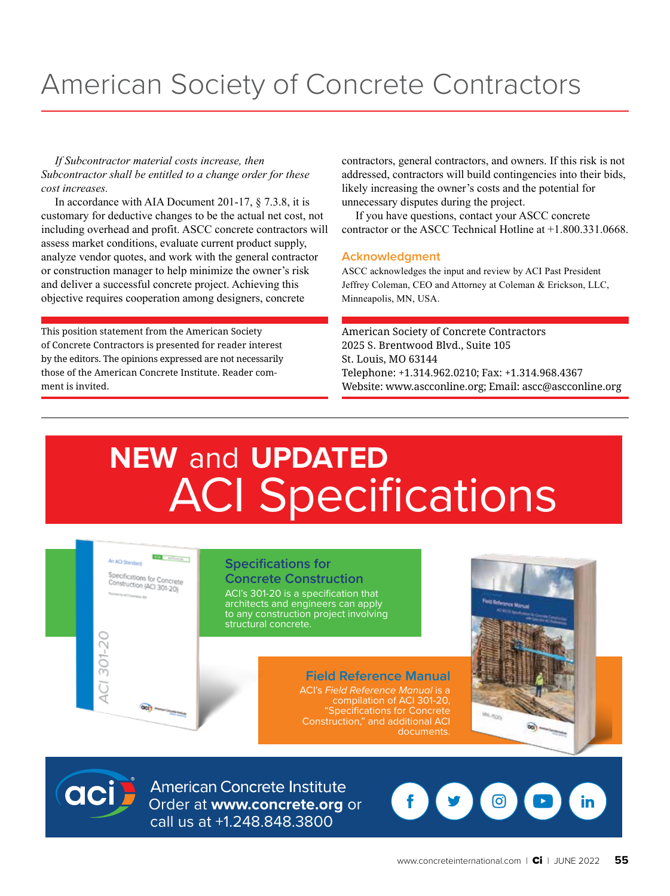## American Society of Concrete Contractors

*If Subcontractor material costs increase, then Subcontractor shall be entitled to a change order for these cost increases.* 

In accordance with AIA Document 201-17, § 7.3.8, it is customary for deductive changes to be the actual net cost, not including overhead and profit. ASCC concrete contractors will assess market conditions, evaluate current product supply, analyze vendor quotes, and work with the general contractor or construction manager to help minimize the owner's risk and deliver a successful concrete project. Achieving this objective requires cooperation among designers, concrete

This position statement from the American Society of Concrete Contractors is presented for reader interest by the editors. The opinions expressed are not necessarily those of the American Concrete Institute. Reader comment is invited.

contractors, general contractors, and owners. If this risk is not addressed, contractors will build contingencies into their bids, likely increasing the owner's costs and the potential for unnecessary disputes during the project.

If you have questions, contact your ASCC concrete contractor or the ASCC Technical Hotline at +1.800.331.0668.

### **Acknowledgment**

ASCC acknowledges the input and review by ACI Past President Jeffrey Coleman, CEO and Attorney at Coleman & Erickson, LLC, Minneapolis, MN, USA.

American Society of Concrete Contractors 2025 S. Brentwood Blvd., Suite 105 St. Louis, MO 63144 Telephone: +1.314.962.0210; Fax: +1.314.968.4367 Website: [www.ascconline.org](http://www.ascconline.org); Email: [ascc@ascconline.org](mailto:ascc%40ascconline.org?subject=)

# **NEW** and **UPDATED** ACI Specifications

#### **Real Adventure** An ACI Standard

Specifications for Concrete<br>Construction (AC) 201200 Construction (ACI 301-20)

### **Specifications for**

**Concrete Construction** ACI's 301-20 is a specification that architects and engineers can apply to any construction project involving structural concrete.

> **Field Reference Manual** ACI's *Field Reference Manual* is a compilation of ACI 301-20, "Specifications for Concrete Construction," and additional ACI documents.





CI 301-20

**Concrete Institute**<br> **Concrete.org** or call us at +1.248.848.3800

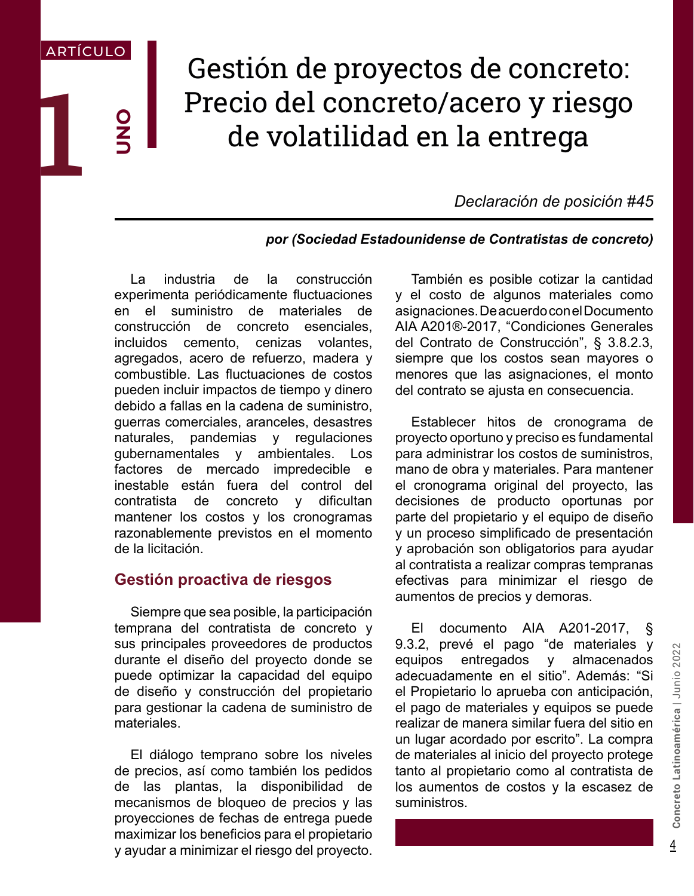## Gestión de proyectos de concreto: Precio del concreto/acero y riesgo de volatilidad en la entrega

*Declaración de posición #45*

## *por (Sociedad Estadounidense de Contratistas de concreto)*

La industria de la construcción experimenta periódicamente fluctuaciones en el suministro de materiales de construcción de concreto esenciales, incluidos cemento, cenizas volantes, agregados, acero de refuerzo, madera y combustible. Las fluctuaciones de costos pueden incluir impactos de tiempo y dinero debido a fallas en la cadena de suministro, guerras comerciales, aranceles, desastres naturales, pandemias y regulaciones gubernamentales y ambientales. Los factores de mercado impredecible e inestable están fuera del control del contratista de concreto y dificultan mantener los costos y los cronogramas razonablemente previstos en el momento de la licitación.

1

ARTÍCULO

O<br>N<br>D

## **Gestión proactiva de riesgos**

Siempre que sea posible, la participación temprana del contratista de concreto y sus principales proveedores de productos durante el diseño del proyecto donde se puede optimizar la capacidad del equipo de diseño y construcción del propietario para gestionar la cadena de suministro de materiales.

El diálogo temprano sobre los niveles de precios, así como también los pedidos de las plantas, la disponibilidad de mecanismos de bloqueo de precios y las proyecciones de fechas de entrega puede maximizar los beneficios para el propietario y ayudar a minimizar el riesgo del proyecto.

También es posible cotizar la cantidad y el costo de algunos materiales como asignaciones. De acuerdo con el Documento AIA A201®-2017, "Condiciones Generales del Contrato de Construcción", § 3.8.2.3, siempre que los costos sean mayores o menores que las asignaciones, el monto del contrato se ajusta en consecuencia.

Establecer hitos de cronograma de proyecto oportuno y preciso es fundamental para administrar los costos de suministros, mano de obra y materiales. Para mantener el cronograma original del proyecto, las decisiones de producto oportunas por parte del propietario y el equipo de diseño y un proceso simplificado de presentación y aprobación son obligatorios para ayudar al contratista a realizar compras tempranas efectivas para minimizar el riesgo de aumentos de precios y demoras.

El documento AIA A201-2017, § 9.3.2, prevé el pago "de materiales y equipos entregados y almacenados adecuadamente en el sitio". Además: "Si el Propietario lo aprueba con anticipación, el pago de materiales y equipos se puede realizar de manera similar fuera del sitio en un lugar acordado por escrito". La compra de materiales al inicio del proyecto protege tanto al propietario como al contratista de los aumentos de costos y la escasez de suministros.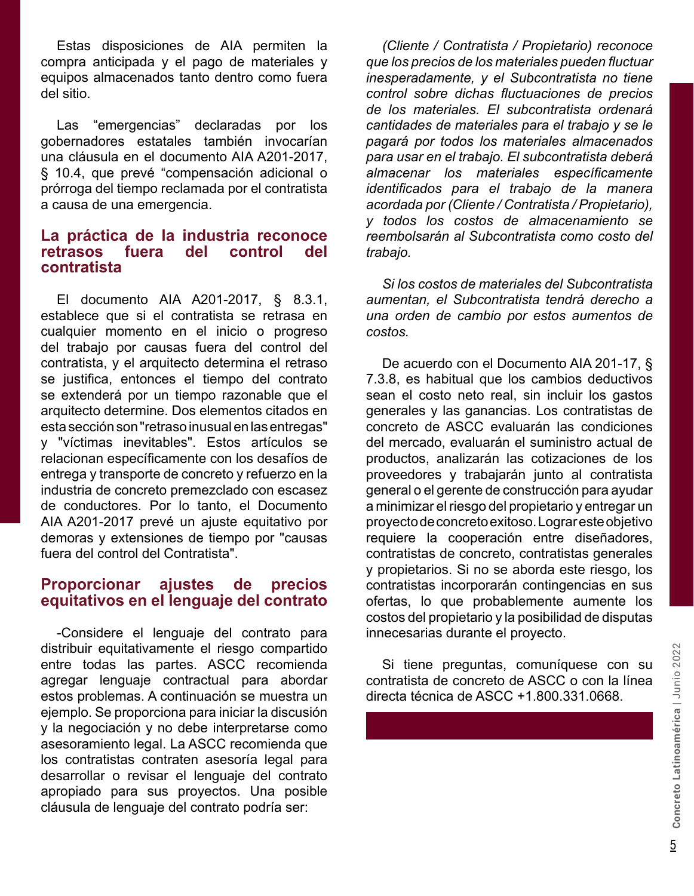Estas disposiciones de AIA permiten la compra anticipada y el pago de materiales y equipos almacenados tanto dentro como fuera del sitio.

Las "emergencias" declaradas por los gobernadores estatales también invocarían una cláusula en el documento AIA A201-2017, § 10.4, que prevé "compensación adicional o prórroga del tiempo reclamada por el contratista a causa de una emergencia.

## **La práctica de la industria reconoce retrasos fuera del control del contratista**

El documento AIA A201-2017, § 8.3.1, establece que si el contratista se retrasa en cualquier momento en el inicio o progreso del trabajo por causas fuera del control del contratista, y el arquitecto determina el retraso se justifica, entonces el tiempo del contrato se extenderá por un tiempo razonable que el arquitecto determine. Dos elementos citados en esta sección son "retraso inusual en las entregas" y "víctimas inevitables". Estos artículos se relacionan específicamente con los desafíos de entrega y transporte de concreto y refuerzo en la industria de concreto premezclado con escasez de conductores. Por lo tanto, el Documento AIA A201-2017 prevé un ajuste equitativo por demoras y extensiones de tiempo por "causas fuera del control del Contratista".

## **Proporcionar ajustes de precios equitativos en el lenguaje del contrato**

distribuir equitativamente el riesgo compartido<br>
entre todas las partes. ASCC recomienda<br>
agregar lenguaje contractiual para abordar<br>
estos problemas. A continuación se muestra un<br>
ejemplo. Se proporciona para iniciar la d -Considere el lenguaje del contrato para distribuir equitativamente el riesgo compartido entre todas las partes. ASCC recomienda agregar lenguaje contractual para abordar estos problemas. A continuación se muestra un ejemplo. Se proporciona para iniciar la discusión y la negociación y no debe interpretarse como asesoramiento legal. La ASCC recomienda que los contratistas contraten asesoría legal para desarrollar o revisar el lenguaje del contrato apropiado para sus proyectos. Una posible cláusula de lenguaje del contrato podría ser:

*(Cliente / Contratista / Propietario) reconoce que los precios de los materiales pueden fluctuar inesperadamente, y el Subcontratista no tiene control sobre dichas fluctuaciones de precios de los materiales. El subcontratista ordenará cantidades de materiales para el trabajo y se le pagará por todos los materiales almacenados para usar en el trabajo. El subcontratista deberá almacenar los materiales específicamente identificados para el trabajo de la manera acordada por (Cliente / Contratista / Propietario), y todos los costos de almacenamiento se reembolsarán al Subcontratista como costo del trabajo.*

*Si los costos de materiales del Subcontratista aumentan, el Subcontratista tendrá derecho a una orden de cambio por estos aumentos de costos.*

De acuerdo con el Documento AIA 201-17, § 7.3.8, es habitual que los cambios deductivos sean el costo neto real, sin incluir los gastos generales y las ganancias. Los contratistas de concreto de ASCC evaluarán las condiciones del mercado, evaluarán el suministro actual de productos, analizarán las cotizaciones de los proveedores y trabajarán junto al contratista general o el gerente de construcción para ayudar a minimizar el riesgo del propietario y entregar un proyecto de concreto exitoso. Lograr este objetivo requiere la cooperación entre diseñadores, contratistas de concreto, contratistas generales y propietarios. Si no se aborda este riesgo, los contratistas incorporarán contingencias en sus ofertas, lo que probablemente aumente los costos del propietario y la posibilidad de disputas innecesarias durante el proyecto.

Si tiene preguntas, comuníquese con su contratista de concreto de ASCC o con la línea directa técnica de ASCC +1.800.331.0668.